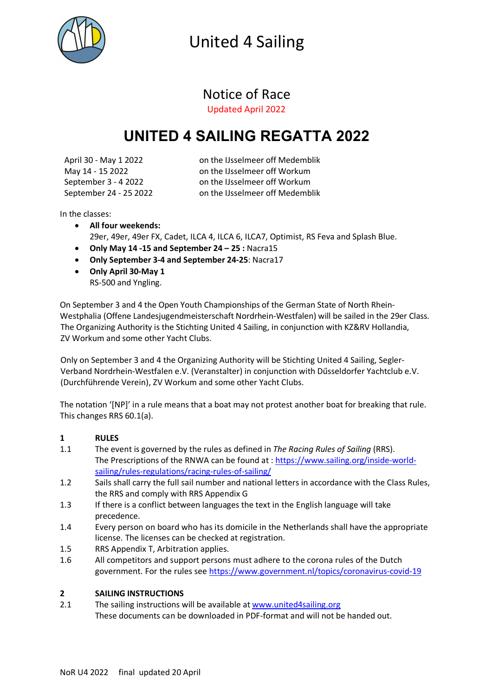

### Notice of Race

Updated April 2022

### **UNITED 4 SAILING REGATTA 2022**

April 30 - May 1 2022 on the IJsselmeer off Medemblik May 14 - 15 2022 on the IJsselmeer off Workum September 3 - 4 2022 on the IJsselmeer off Workum September 24 - 25 2022 on the IJsselmeer off Medemblik

In the classes:

- **All four weekends:** 29er, 49er, 49er FX, Cadet, ILCA 4, ILCA 6, ILCA7, Optimist, RS Feva and Splash Blue.
- **Only May 14 -15 and September 24 – 25 :** Nacra15
- **Only September 3-4 and September 24-25**: Nacra17
- **Only April 30-May 1** RS-500 and Yngling.

On September 3 and 4 the Open Youth Championships of the German State of North Rhein-Westphalia (Offene Landesjugendmeisterschaft Nordrhein-Westfalen) will be sailed in the 29er Class. The Organizing Authority is the Stichting United 4 Sailing, in conjunction with KZ&RV Hollandia, ZV Workum and some other Yacht Clubs.

Only on September 3 and 4 the Organizing Authority will be Stichting United 4 Sailing, Segler-Verband Nordrhein-Westfalen e.V. (Veranstalter) in conjunction with Dűsseldorfer Yachtclub e.V. (Durchführende Verein), ZV Workum and some other Yacht Clubs.

The notation '[NP]' in a rule means that a boat may not protest another boat for breaking that rule. This changes RRS 60.1(a).

#### **1 RULES**

- 1.1 The event is governed by the rules as defined in *The Racing Rules of Sailing* (RRS). The Prescriptions of the RNWA can be found at : https://www.sailing.org/inside-worldsailing/rules-regulations/racing-rules-of-sailing/
- 1.2 Sails shall carry the full sail number and national letters in accordance with the Class Rules, the RRS and comply with RRS Appendix G
- 1.3 If there is a conflict between languages the text in the English language will take precedence.
- 1.4 Every person on board who has its domicile in the Netherlands shall have the appropriate license. The licenses can be checked at registration.
- 1.5 RRS Appendix T, Arbitration applies.
- 1.6 All competitors and support persons must adhere to the corona rules of the Dutch government. For the rules see https://www.government.nl/topics/coronavirus-covid-19

#### **2 SAILING INSTRUCTIONS**

2.1 The sailing instructions will be available at www.united4sailing.org These documents can be downloaded in PDF-format and will not be handed out.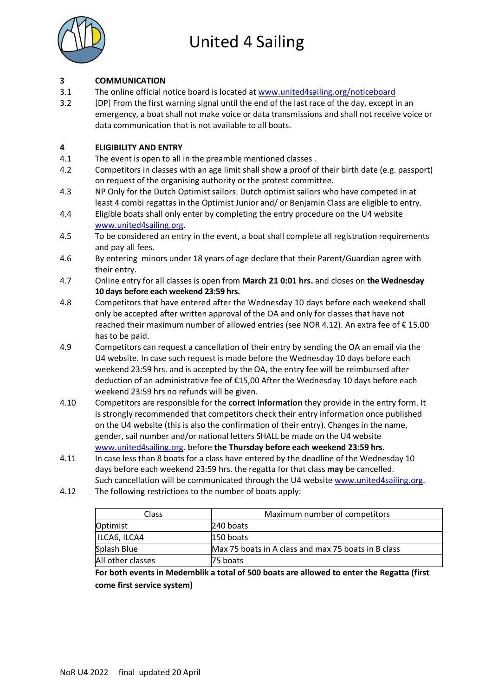

#### **3 COMMUNICATION**

3.1 The online official notice board is located at www.united4sailing.org/noticeboard

3.2 [DP] From the first warning signal until the end of the last race of the day, except in an emergency, a boat shall not make voice or data transmissions and shall not receive voice or data communication that is not available to all boats.

#### **4 ELIGIBILITY AND ENTRY**

- 4.1 The event is open to all in the preamble mentioned classes .
- 4.2 Competitors in classes with an age limit shall show a proof of their birth date (e.g. passport) on request of the organising authority or the protest committee.
- 4.3 NP Only for the Dutch Optimist sailors: Dutch optimist sailors who have competed in at least 4 combi regattas in the Optimist Junior and/ or Benjamin Class are eligible to entry.
- 4.4 Eligible boats shall only enter by completing the entry procedure on the U4 website www.united4sailing.org.
- 4.5 To be considered an entry in the event, a boat shall complete all registration requirements and pay all fees.
- 4.6 By entering minors under 18 years of age declare that their Parent/Guardian agree with their entry.
- 4.7 Online entry for all classes is open from **March 21 0:01 hrs.** and closes on **the Wednesday 10 days before each weekend 23:59 hrs.**
- 4.8 Competitors that have entered after the Wednesday 10 days before each weekend shall only be accepted after written approval of the OA and only for classes that have not reached their maximum number of allowed entries (see NOR 4.12). An extra fee of € 15.00 has to be paid.
- 4.9 Competitors can request a cancellation of their entry by sending the OA an email via the U4 website. In case such request is made before the Wednesday 10 days before each weekend 23:59 hrs. and is accepted by the OA, the entry fee will be reimbursed after deduction of an administrative fee of €15,00 After the Wednesday 10 days before each weekend 23:59 hrs no refunds will be given.
- 4.10 Competitors are responsible for the **correct information** they provide in the entry form. It is strongly recommended that competitors check their entry information once published on the U4 website (this is also the confirmation of their entry). Changes in the name, gender, sail number and/or national letters SHALL be made on the U4 website www.united4sailing.org. before **the Thursday before each weekend 23:59 hrs**.
- 4.11 In case less than 8 boats for a class have entered by the deadline of the Wednesday 10 days before each weekend 23:59 hrs. the regatta for that class **may** be cancelled. Such cancellation will be communicated through the U4 website www.united4sailing.org.
- 4.12 The following restrictions to the number of boats apply:

| Class             | Maximum number of competitors                       |
|-------------------|-----------------------------------------------------|
| Optimist          | 240 boats                                           |
| ILCA6, ILCA4      | 150 boats                                           |
| Splash Blue       | Max 75 boats in A class and max 75 boats in B class |
| All other classes | 75 boats                                            |

**For both events in Medemblik a total of 500 boats are allowed to enter the Regatta (first come first service system)**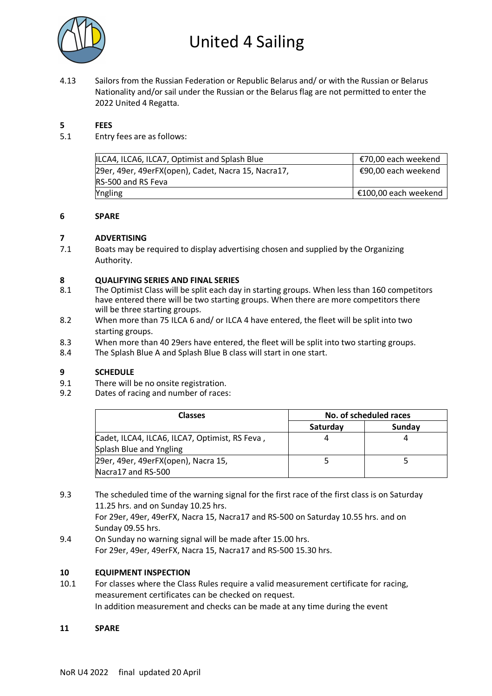

4.13 Sailors from the Russian Federation or Republic Belarus and/ or with the Russian or Belarus Nationality and/or sail under the Russian or the Belarus flag are not permitted to enter the 2022 United 4 Regatta.

#### **5 FEES**

5.1 Entry fees are as follows:

| ILCA4, ILCA6, ILCA7, Optimist and Splash Blue       | €70,00 each weekend  |
|-----------------------------------------------------|----------------------|
| 29er, 49er, 49erFX(open), Cadet, Nacra 15, Nacra17, | €90,00 each weekend  |
| RS-500 and RS Feva                                  |                      |
| Yngling                                             | €100,00 each weekend |
|                                                     |                      |

#### **6 SPARE**

#### **7 ADVERTISING**

7.1 Boats may be required to display advertising chosen and supplied by the Organizing Authority.

#### **8 QUALIFYING SERIES AND FINAL SERIES**

- 8.1 The Optimist Class will be split each day in starting groups. When less than 160 competitors have entered there will be two starting groups. When there are more competitors there will be three starting groups.
- 8.2 When more than 75 ILCA 6 and/ or ILCA 4 have entered, the fleet will be split into two starting groups.
- 8.3 When more than 40 29ers have entered, the fleet will be split into two starting groups.
- 8.4 The Splash Blue A and Splash Blue B class will start in one start.

#### **9 SCHEDULE**

- 9.1 There will be no onsite registration.<br>9.2 Dates of racing and number of races
- Dates of racing and number of races:

| Classes                                        | No. of scheduled races |        |
|------------------------------------------------|------------------------|--------|
|                                                | Saturday               | Sunday |
| Cadet, ILCA4, ILCA6, ILCA7, Optimist, RS Feva, |                        |        |
| Splash Blue and Yngling                        |                        |        |
| 29er, 49er, 49erFX(open), Nacra 15,            |                        |        |
| Nacra17 and RS-500                             |                        |        |

9.3 The scheduled time of the warning signal for the first race of the first class is on Saturday 11.25 hrs. and on Sunday 10.25 hrs. For 29er, 49er, 49erFX, Nacra 15, Nacra17 and RS-500 on Saturday 10.55 hrs. and on

Sunday 09.55 hrs.

9.4 On Sunday no warning signal will be made after 15.00 hrs. For 29er, 49er, 49erFX, Nacra 15, Nacra17 and RS-500 15.30 hrs.

#### **10 EQUIPMENT INSPECTION**

10.1 For classes where the Class Rules require a valid measurement certificate for racing, measurement certificates can be checked on request. In addition measurement and checks can be made at any time during the event

#### **11 SPARE**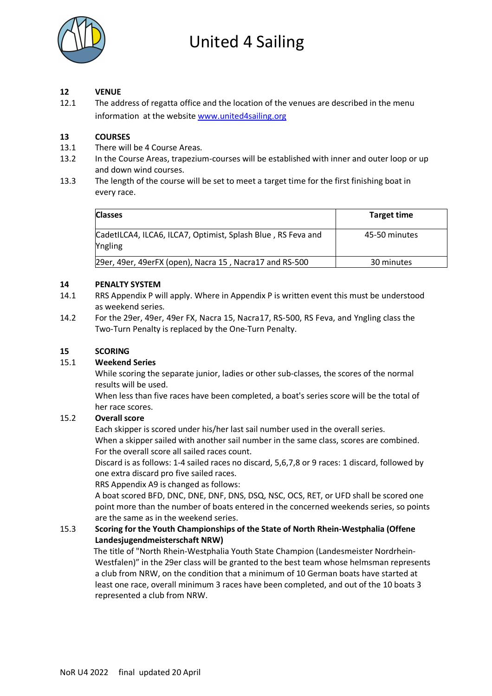

#### **12 VENUE**

12.1 The address of regatta office and the location of the venues are described in the menu information at the website www.united4sailing.org

#### **13 COURSES**

- 13.1 There will be 4 Course Areas.
- 13.2 In the Course Areas, trapezium-courses will be established with inner and outer loop or up and down wind courses.
- 13.3 The length of the course will be set to meet a target time for the first finishing boat in every race.

| <b>Classes</b>                                                                 | <b>Target time</b> |
|--------------------------------------------------------------------------------|--------------------|
| CadetILCA4, ILCA6, ILCA7, Optimist, Splash Blue, RS Feva and<br><b>Yngling</b> | 45-50 minutes      |
| 29er, 49er, 49erFX (open), Nacra 15, Nacra17 and RS-500                        | 30 minutes         |

#### **14 PENALTY SYSTEM**

- 14.1 RRS Appendix P will apply. Where in Appendix P is written event this must be understood as weekend series.
- 14.2 For the 29er, 49er, 49er FX, Nacra 15, Nacra17, RS-500, RS Feva, and Yngling class the Two-Turn Penalty is replaced by the One-Turn Penalty.

#### **15 SCORING**

#### 15.1 **Weekend Series**

While scoring the separate junior, ladies or other sub-classes, the scores of the normal results will be used.

When less than five races have been completed, a boat's series score will be the total of her race scores.

#### 15.2 **Overall score**

Each skipper is scored under his/her last sail number used in the overall series. When a skipper sailed with another sail number in the same class, scores are combined. For the overall score all sailed races count.

Discard is as follows: 1-4 sailed races no discard, 5,6,7,8 or 9 races: 1 discard, followed by one extra discard pro five sailed races.

RRS Appendix A9 is changed as follows:

A boat scored BFD, DNC, DNE, DNF, DNS, DSQ, NSC, OCS, RET, or UFD shall be scored one point more than the number of boats entered in the concerned weekends series, so points are the same as in the weekend series.

#### 15.3 **Scoring for the Youth Championships of the State of North Rhein-Westphalia (Offene Landesjugendmeisterschaft NRW)**

 The title of "North Rhein-Westphalia Youth State Champion (Landesmeister Nordrhein-Westfalen)" in the 29er class will be granted to the best team whose helmsman represents a club from NRW, on the condition that a minimum of 10 German boats have started at least one race, overall minimum 3 races have been completed, and out of the 10 boats 3 represented a club from NRW.